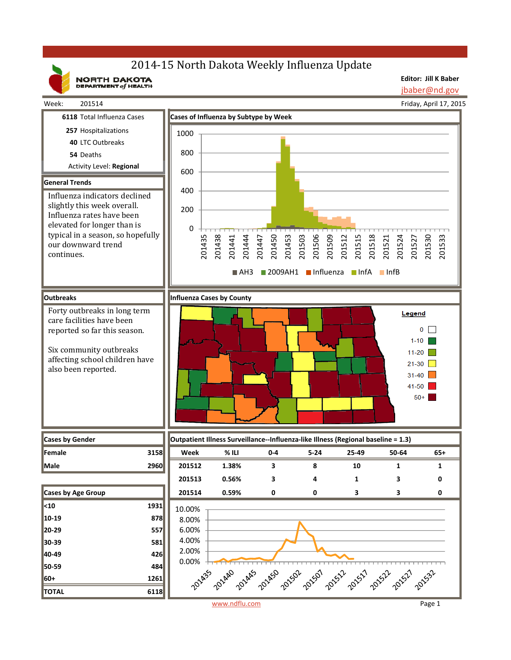# 2014-15 North Dakota Weekly Influenza Update

NORTH DAKOTA

Week: 201514

**Editor: Jill K Baber** jbaber@nd.gov

Friday, April 17, 2015 **6118** Total Influenza Cases **Cases of Influenza by Subtype by Week 257** Hospitalizations 1000 **40** LTC Outbreaks 800 **54** Deaths Activity Level: **Regional** 600 **General Trends** 400 Influenza indicators declined slightly this week overall. 200 Influenza rates have been elevated for longer than is 0 typical in a season, so hopefully 201435 201438 201450 201503 201506 201509 201512 201515 201518 201524 201527 201441 201444 201447 201453 201521 201530 201533 our downward trend continues.  $\blacksquare$ AH3  $\blacksquare$  2009AH1  $\blacksquare$  Influenza  $\blacksquare$  InfA  $\blacksquare$  InfB **Outbreaks Influenza Cases by County** Forty outbreaks in long term Legend care facilities have been  $0$   $\Box$ reported so far this season.  $1-10$ Six community outbreaks  $11-20$ affecting school children have  $21-30$ also been reported.  $31-40$  $41-50$  $50+$ **Cases by Gender Outpatient Illness Surveillance‐‐Influenza‐like Illness (Regional baseline = 1.3) Female 3158 Week % ILI 0‐4 5‐24 25‐49 50‐64 65+ Male 2960 201512 1.38% 3 8 10 1 1 201513 0.56% 34130 Cases by Age Group 201514 0.59% 00330 <10 1931** 10.00%**10‐19 878** 8.00% 6.00% **20‐29 557** 4.00% **30‐39 581** 2.00% **40‐49 426** 0.00%  $+$ 2014-00 **2014 50‐59 484** 120149 2015 2015 2015 2015 2015 2015 201532 **60+ 1261 TOTAL 6118** www.ndflu.com Page 1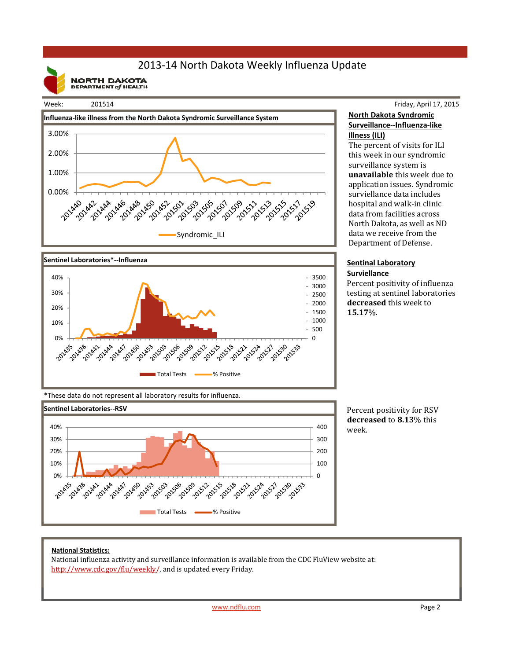## 2013‐14 North Dakota Weekly Influenza Update

**NORTH DAKOTA**<br>DEPARTMENT of HEALTH

#### Week: 201514





### Friday, April 17, 2015 **North Dakota Syndromic Surveillance‐‐Influenza‐like Illness (ILI)**

The percent of visits for ILI this week in our syndromic surveillance system is **unavailable** this week due to application issues. Syndromic surviellance data includes hospital and walk-in clinic data from facilities across North Dakota, as well as ND data we receive from the Department of Defense.

#### **Sentinal Laboratory Surviellance**

Percent positivity of influenza testing at sentinel laboratories decreased this week to **15.17**%. 

\*These data do not represent all laboratory results for influenza.



Percent positivity for RSV **decreased** to **8.13**% this week.

#### **National Statistics:**

National influenza activity and surveillance information is available from the CDC FluView website at: http://www.cdc.gov/flu/weekly/, and is updated every Friday.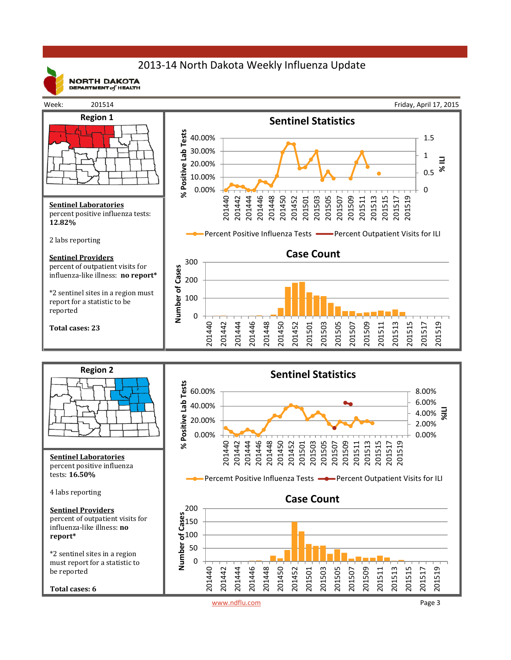### 2013‐14 North Dakota Weekly Influenza Update



**NORTH DAKOTA** DEPARTMENT  $of$  HEALTH